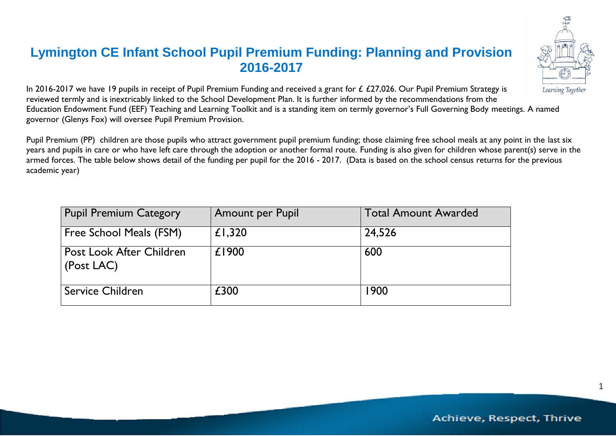## **Lymington CE Infant School Pupil Premium Funding: Planning and Provision 2016-2017**



In 2016-2017 we have 19 pupils in receipt of Pupil Premium Funding and received a grant for £ £27,026. Our Pupil Premium Strategy is reviewed termly and is inextricably linked to the School Development Plan. It is further informed by the recommendations from the Education Endowment Fund (EEF) Teaching and Learning Toolkit and is a standing item on termly governor's Full Governing Body meetings. A named governor (Glenys Fox) will oversee Pupil Premium Provision.

Pupil Premium (PP) children are those pupils who attract government pupil premium funding; those claiming free school meals at any point in the last six years and pupils in care or who have left care through the adoption or another formal route. Funding is also given for children whose parent(s) serve in the armed forces. The table below shows detail of the funding per pupil for the 2016 - 2017. (Data is based on the school census returns for the previous academic year)

| <b>Pupil Premium Category</b>          | Amount per Pupil | <b>Total Amount Awarded</b> |
|----------------------------------------|------------------|-----------------------------|
| Free School Meals (FSM)                | £1,320           | 24,526                      |
| Post Look After Children<br>(Post LAC) | £1900            | 600                         |
| <b>Service Children</b>                | £300             | 1900                        |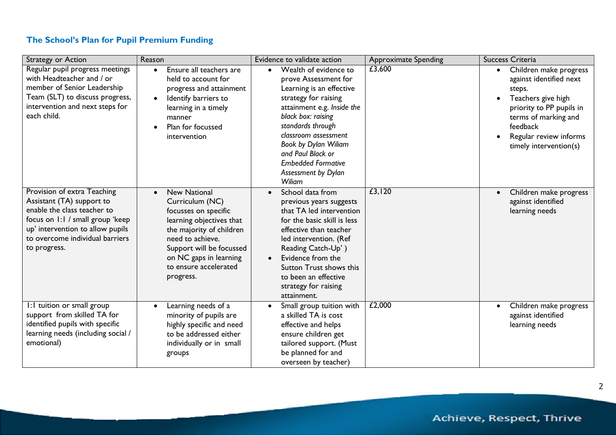## **The School's Plan for Pupil Premium Funding**

| Strategy or Action                                                                                                                                                                                                 | Reason                                                                                                                                                                                                                                 | Evidence to validate action                                                                                                                                                                                                                                                                                                | <b>Approximate Spending</b> | <b>Success Criteria</b>                                                                                                                                                                                            |
|--------------------------------------------------------------------------------------------------------------------------------------------------------------------------------------------------------------------|----------------------------------------------------------------------------------------------------------------------------------------------------------------------------------------------------------------------------------------|----------------------------------------------------------------------------------------------------------------------------------------------------------------------------------------------------------------------------------------------------------------------------------------------------------------------------|-----------------------------|--------------------------------------------------------------------------------------------------------------------------------------------------------------------------------------------------------------------|
| Regular pupil progress meetings<br>with Headteacher and / or<br>member of Senior Leadership<br>Team (SLT) to discuss progress,<br>intervention and next steps for<br>each child.                                   | Ensure all teachers are<br>$\bullet$<br>held to account for<br>progress and attainment<br>Identify barriers to<br>$\bullet$<br>learning in a timely<br>manner<br>Plan for focussed<br>intervention                                     | Wealth of evidence to<br>$\bullet$<br>prove Assessment for<br>Learning is an effective<br>strategy for raising<br>attainment e.g. Inside the<br>black box: raising<br>standards through<br>classroom assessment<br>Book by Dylan Wiliam<br>and Paul Black or<br><b>Embedded Formative</b><br>Assessment by Dylan<br>Wiliam | £3,600                      | Children make progress<br>$\bullet$<br>against identified next<br>steps.<br>Teachers give high<br>priority to PP pupils in<br>terms of marking and<br>feedback<br>Regular review informs<br>timely intervention(s) |
| Provision of extra Teaching<br>Assistant (TA) support to<br>enable the class teacher to<br>focus on 1:1 / small group 'keep<br>up' intervention to allow pupils<br>to overcome individual barriers<br>to progress. | <b>New National</b><br>Curriculum (NC)<br>focusses on specific<br>learning objectives that<br>the majority of children<br>need to achieve.<br>Support will be focussed<br>on NC gaps in learning<br>to ensure accelerated<br>progress. | School data from<br>previous years suggests<br>that TA led intervention<br>for the basic skill is less<br>effective than teacher<br>led intervention. (Ref<br>Reading Catch-Up')<br>Evidence from the<br>$\bullet$<br>Sutton Trust shows this<br>to been an effective<br>strategy for raising<br>attainment.               | £3,120                      | Children make progress<br>against identified<br>learning needs                                                                                                                                                     |
| I: I tuition or small group<br>support from skilled TA for<br>identified pupils with specific<br>learning needs (including social /<br>emotional)                                                                  | Learning needs of a<br>$\bullet$<br>minority of pupils are<br>highly specific and need<br>to be addressed either<br>individually or in small<br>groups                                                                                 | Small group tuition with<br>$\bullet$<br>a skilled TA is cost<br>effective and helps<br>ensure children get<br>tailored support. (Must<br>be planned for and<br>overseen by teacher)                                                                                                                                       | £2,000                      | Children make progress<br>$\bullet$<br>against identified<br>learning needs                                                                                                                                        |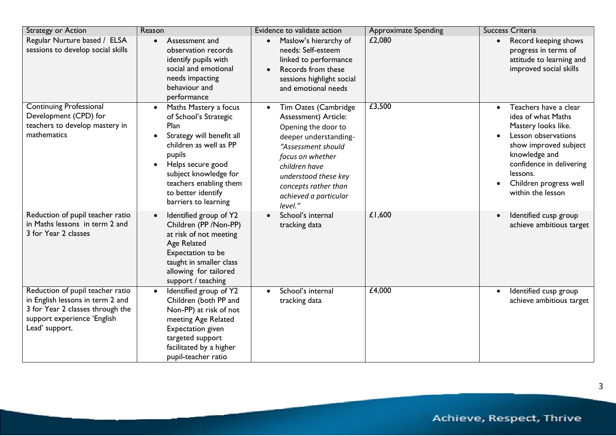| Strategy or Action                                                                                                                                        | Reason                                                                                                                                                                                                                                                     | Evidence to validate action                                                                                                                                                                                                                 | <b>Approximate Spending</b> | <b>Success Criteria</b>                                                                                                                                                                                                                 |
|-----------------------------------------------------------------------------------------------------------------------------------------------------------|------------------------------------------------------------------------------------------------------------------------------------------------------------------------------------------------------------------------------------------------------------|---------------------------------------------------------------------------------------------------------------------------------------------------------------------------------------------------------------------------------------------|-----------------------------|-----------------------------------------------------------------------------------------------------------------------------------------------------------------------------------------------------------------------------------------|
| Regular Nurture based / ELSA<br>sessions to develop social skills                                                                                         | Assessment and<br>$\bullet$<br>observation records<br>identify pupils with<br>social and emotional<br>needs impacting<br>behaviour and<br>performance                                                                                                      | Maslow's hierarchy of<br>$\bullet$<br>needs: Self-esteem<br>linked to performance<br>Records from these<br>sessions highlight social<br>and emotional needs                                                                                 | £2,080                      | Record keeping shows<br>$\bullet$<br>progress in terms of<br>attitude to learning and<br>improved social skills                                                                                                                         |
| <b>Continuing Professional</b><br>Development (CPD) for<br>teachers to develop mastery in<br>mathematics                                                  | Maths Mastery a focus<br>$\bullet$<br>of School's Strategic<br>Plan<br>Strategy will benefit all<br>children as well as PP<br>pupils<br>Helps secure good<br>subject knowledge for<br>teachers enabling them<br>to better identify<br>barriers to learning | Tim Oates (Cambridge<br>Assessment) Article:<br>Opening the door to<br>deeper understanding-<br>"Assessment should<br>focus on whether<br>children have<br>understood these key<br>concepts rather than<br>achieved a particular<br>level." | £3,500                      | Teachers have a clear<br>$\bullet$<br>idea of what Maths<br>Mastery looks like.<br>Lesson observations<br>show improved subject<br>knowledge and<br>confidence in delivering<br>lessons.<br>Children progress well<br>within the lesson |
| Reduction of pupil teacher ratio<br>in Maths lessons in term 2 and<br>3 for Year 2 classes                                                                | Identified group of Y2<br>$\bullet$<br>Children (PP / Non-PP)<br>at risk of not meeting<br><b>Age Related</b><br>Expectation to be<br>taught in smaller class<br>allowing for tailored<br>support / teaching                                               | School's internal<br>tracking data                                                                                                                                                                                                          | £1,600                      | Identified cusp group<br>achieve ambitious target                                                                                                                                                                                       |
| Reduction of pupil teacher ratio<br>in English lessons in term 2 and<br>3 for Year 2 classes through the<br>support experience 'English<br>Lead' support. | Identified group of Y2<br>Children (both PP and<br>Non-PP) at risk of not<br>meeting Age Related<br>Expectation given<br>targeted support<br>facilitated by a higher<br>pupil-teacher ratio                                                                | School's internal<br>tracking data                                                                                                                                                                                                          | £4,000                      | Identified cusp group<br>achieve ambitious target                                                                                                                                                                                       |

 $\overline{3}$